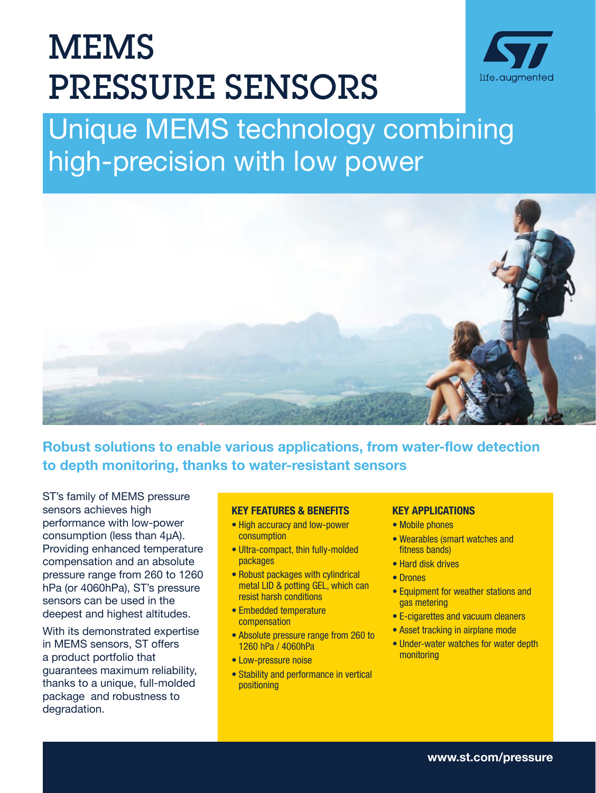# MEMS PRESSURE SENSORS



# Unique MEMS technology combining high-precision with low power



Robust solutions to enable various applications, from water-flow detection to depth monitoring, thanks to water-resistant sensors

ST's family of MEMS pressure sensors achieves high performance with low-power consumption (less than 4μA). Providing enhanced temperature compensation and an absolute pressure range from 260 to 1260 hPa (or 4060hPa), ST's pressure sensors can be used in the deepest and highest altitudes.

With its demonstrated expertise in MEMS sensors, ST offers a product portfolio that guarantees maximum reliability, thanks to a unique, full-molded package and robustness to degradation.

#### KEY FEATURES & BENEFITS

- High accuracy and low-power consumption
- Ultra-compact, thin fully-molded packages
- Robust packages with cylindrical metal LID & potting GEL, which can resist harsh conditions
- Embedded temperature compensation
- Absolute pressure range from 260 to 1260 hPa / 4060hPa
- Low-pressure noise
- Stability and performance in vertical positioning

#### KEY APPLICATIONS

- Mobile phones
- Wearables (smart watches and fitness bands)
- Hard disk drives
- Drones
- Equipment for weather stations and gas metering
- E-cigarettes and vacuum cleaners
- Asset tracking in airplane mode
- Under-water watches for water depth monitoring